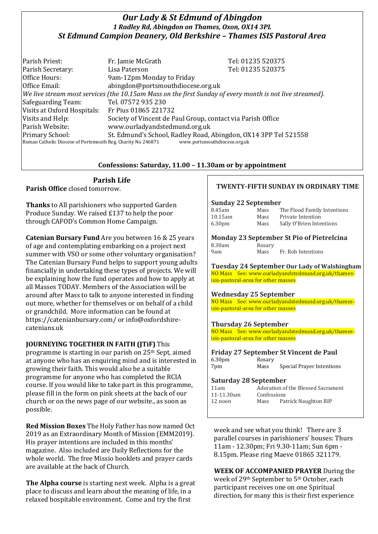## *Our Lady & St Edmund of Abingdon 1 Radley Rd, Abingdon on Thames, Oxon, OX14 3PL St Edmund Campion Deanery, Old Berkshire – Thames ISIS Pastoral Area*

Parish Priest: Fr. Jamie McGrath Tel: 01235 520375 Parish Secretary: Tel: 01235 520375 Office Hours: 9am-12pm Monday to Friday Office Email: abingdon@portsmouthdiocese.org.uk *We live stream most services (the 10.15am Mass on the first Sunday of every month is not live streamed).* Safeguarding Team: Tel. 07572 935 230 Visits at Oxford Hospitals: Fr Pius 01865 221732 Visits and Help: Society of Vincent de Paul Group, contact via Parish Office Parish Website: www.ourladyandstedmund.org.uk Primary School: St. Edmund's School, Radley Road, Abingdon, OX14 3PP Tel 521558 Roman Catholic Diocese of Portsmouth Reg. Charity No 246871 www.portsmouthdiocese.org.uk

## **Confessions: Saturday, 11.00 – 11.30am or by appointment**

## **Parish Life**

**Parish Office** closed tomorrow.

**Thanks** to All parishioners who supported Garden Produce Sunday. We raised £137 to help the poor through CAFOD's Common Home Campaign.

**Catenian Bursary Fund** Are you between 16 & 25 years of age and contemplating embarking on a project next summer with VSO or some other voluntary organisation? The Catenian Bursary Fund helps to support young adults financially in undertaking these types of projects. We will be explaining how the fund operates and how to apply at all Masses TODAY. Members of the Association will be around after Mass to talk to anyone interested in finding out more, whether for themselves or on behalf of a child or grandchild. More information can be found at https://catenianbursary.com/ or info@oxfordshirecatenians.uk

## **JOURNEYING TOGETHER IN FAITH (JTiF)** This

programme is starting in our parish on 25th Sept, aimed at anyone who has an enquiring mind and is interested in growing their faith. This would also be a suitable programme for anyone who has completed the RCIA course. If you would like to take part in this programme, please fill in the form on pink sheets at the back of our church or on the news page of our website., as soon as possible.

**Red Mission Boxes** The Holy Father has now named Oct 2019 as an Extraordinary Month of Mission (EMM2019). His prayer intentions are included in this months' magazine. Also included are Daily Reflections for the whole world. The free Missio booklets and prayer cards are available at the back of Church.

**The Alpha course** is starting next week. Alpha is a great place to discuss and learn about the meaning of life, in a relaxed hospitable environment. Come and try the first

## **TWENTY-FIFTH SUNDAY IN ORDINARY TIME**

### **Sunday 22 September**

| 8.45am             | Mass | The Flood Family Intentions |
|--------------------|------|-----------------------------|
| 10.15am            | Mass | Private Intention           |
| 6.30 <sub>pm</sub> | Mass | Sally O'Brien Intentions    |

#### **Monday 23 September St Pio of Pietrelcina** Rosary

| u.svani |  |
|---------|--|
| 9am     |  |

Mass Fr. Rob Intentions

**Tuesday 24 September Our Lady of Walshingham** NO Mass See: www.ourladyandstedmund.org.uk/thamesisis-pastoral-area for other masses

## **Wednesday 25 September**

NO Mass See: www.ourladyandstedmund.org.uk/thamesisis-pastoral-area for other masses

### **Thursday 26 September**

NO Mass See: www.ourladyandstedmund.org.uk/thamesisis-pastoral-area for other masses

#### **Friday 27 September St Vincent de Paul** 6.30pm Rosary 7pm Mass Special Prayer Intentions

### **Saturday 28 September**

| 11am       | Adoration of the Blessed Sacrament |                      |  |
|------------|------------------------------------|----------------------|--|
| 11-11.30am | Confessions                        |                      |  |
| 12 noon    | Mass                               | Patrick Naughton RIP |  |
|            |                                    |                      |  |

week and see what you think! There are 3 parallel courses in parishioners' houses: Thurs 11am - 12.30pm; Fri 9.30-11am; Sun 6pm - 8.15pm. Please ring Maeve 01865 321179.

**WEEK OF ACCOMPANIED PRAYER** During the week of 29th September to 5th October, each participant receives one on one Spiritual direction, for many this is their first experience